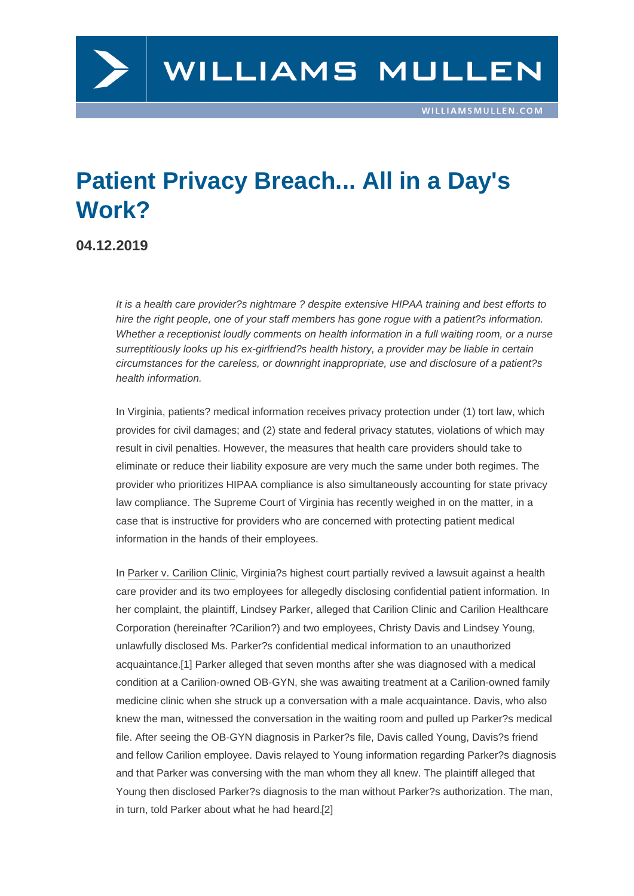## Patient Privacy Breach... All in a Day's Work?

04.12.2019

It is a health care provider?s nightmare ? despite extensive HIPAA training and best efforts to hire the right people, one of your staff members has gone rogue with a patient?s information. Whether a receptionist loudly comments on health information in a full waiting room, or a nurse surreptitiously looks up his ex-girlfriend?s health history, a provider may be liable in certain circumstances for the careless, or downright inappropriate, use and disclosure of a patient?s health information.

In Virginia, patients? medical information receives privacy protection under (1) tort law, which provides for civil damages; and (2) state and federal privacy statutes, violations of which may result in civil penalties. However, the measures that health care providers should take to eliminate or reduce their liability exposure are very much the same under both regimes. The provider who prioritizes HIPAA compliance is also simultaneously accounting for state privacy law compliance. The Supreme Court of Virginia has recently weighed in on the matter, in a case that is instructive for providers who are concerned with protecting patient medical information in the hands of their employees.

In Parker v. Carilion Clinic, Virginia?s highest court partially revived a lawsuit against a health care provider and its two employees for allegedly disclosing confidential patient information. In her complaint, the plaintiff, Lindsey Parker, alleged that Carilion Clinic and Carilion Healthcare Corporation (hereinafter ?Carilion?) and two employees, Christy Davis and Lindsey Young, unlawfully disclosed Ms. Parker?s confidential medical information to an unauthorized acquaintance.[1] Parker alleged that seven months after she was diagnosed with a medical condition at a Carilion-owned OB-GYN, she was awaiting treatment at a Carilion-owned family medicine clinic when she struck up a conversation with a male acquaintance. Davis, who also knew the ma[n, w](/printpdf/46389#_edn1)itnessed the conversation in the waiting room and pulled up Parker?s medical file. After seeing the OB-GYN diagnosis in Parker?s file, Davis called Young, Davis?s friend and fellow Carilion employee. Davis relayed to Young information regarding Parker?s diagnosis and that Parker was conversing with the man whom they all knew. The plaintiff alleged that Young then disclosed Parker?s diagnosis to the man without Parker?s authorization. The man, in turn, told Parker about what he had heard.[2]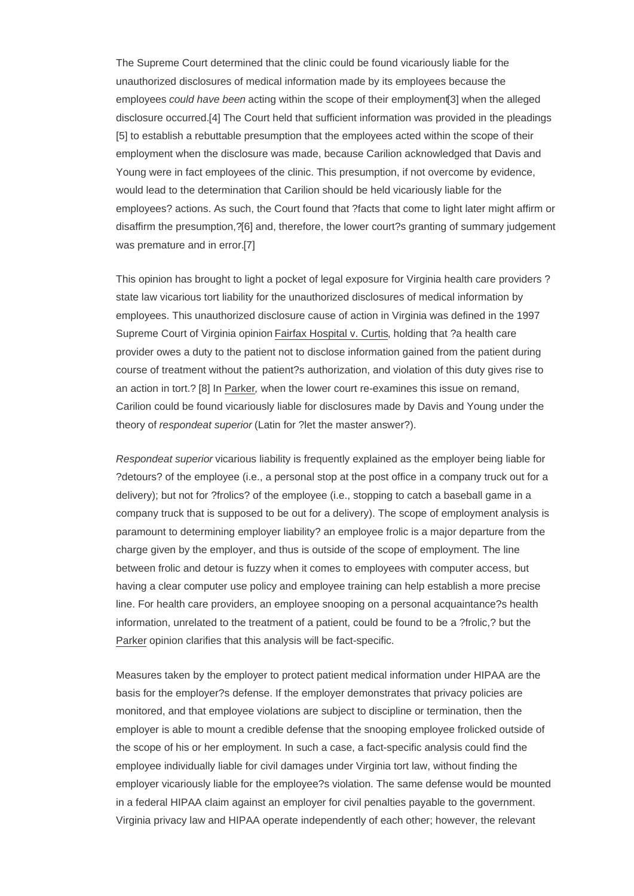The Supreme Court determined that the clinic could be found vicariously liable for the unauthorized disclosures of medical information made by its employees because the employees could have been acting within the scope of their employment[3] when the alleged disclosure occurred.[4] The Court held that sufficient information was provided in the pleadings [5] to establish a rebuttable presumption that the employees acted within the scope of their employment when the disclosure was made, because Carilion acknowl[edg](/printpdf/46389#_edn3)ed that Davis and Young were in fact [emp](/printpdf/46389#_edn4)loyees of the clinic. This presumption, if not overcome by evidence, [wo](/printpdf/46389#_edn5)uld lead to the determination that Carilion should be held vicariously liable for the employees? actions. As such, the Court found that ?facts that come to light later might affirm or disaffirm the presumption,?[6] and, therefore, the lower court?s granting of summary judgement was premature and in error.[7]

This opinion has brought t[o lig](/printpdf/46389#_edn6)ht a pocket of legal exposure for Virginia health care providers ? state law vicarious tort liabil[ity](/printpdf/46389#_edn7) for the unauthorized disclosures of medical information by employees. This unauthorized disclosure cause of action in Virginia was defined in the 1997 Supreme Court of Virginia opinion Fairfax Hospital v. Curtis, holding that ?a health care provider owes a duty to the patient not to disclose information gained from the patient during course of treatment without the patient?s authorization, and violation of this duty gives rise to an action in tort.? [8] In Parker, when the lower court re-examines this issue on remand, Carilion could be found vicariously liable for disclosures made by Davis and Young under the theory of respondeat superior (Latin for ?let the master answer?).

Respondeat superior vicarious liability is frequently explained as the employer being liable for ?detours? of the employee (i.e., a personal stop at the post office in a company truck out for a delivery); but not for ?frolics? of the employee (i.e., stopping to catch a baseball game in a company truck that is supposed to be out for a delivery). The scope of employment analysis is paramount to determining employer liability? an employee frolic is a major departure from the charge given by the employer, and thus is outside of the scope of employment. The line between frolic and detour is fuzzy when it comes to employees with computer access, but having a clear computer use policy and employee training can help establish a more precise line. For health care providers, an employee snooping on a personal acquaintance?s health information, unrelated to the treatment of a patient, could be found to be a ?frolic,? but the Parker opinion clarifies that this analysis will be fact-specific.

Measures taken by the employer to protect patient medical information under HIPAA are the basis for the employer?s defense. If the employer demonstrates that privacy policies are monitored, and that employee violations are subject to discipline or termination, then the employer is able to mount a credible defense that the snooping employee frolicked outside of the scope of his or her employment. In such a case, a fact-specific analysis could find the employee individually liable for civil damages under Virginia tort law, without finding the employer vicariously liable for the employee?s violation. The same defense would be mounted in a federal HIPAA claim against an employer for civil penalties payable to the government. Virginia privacy law and HIPAA operate independently of each other; however, the relevant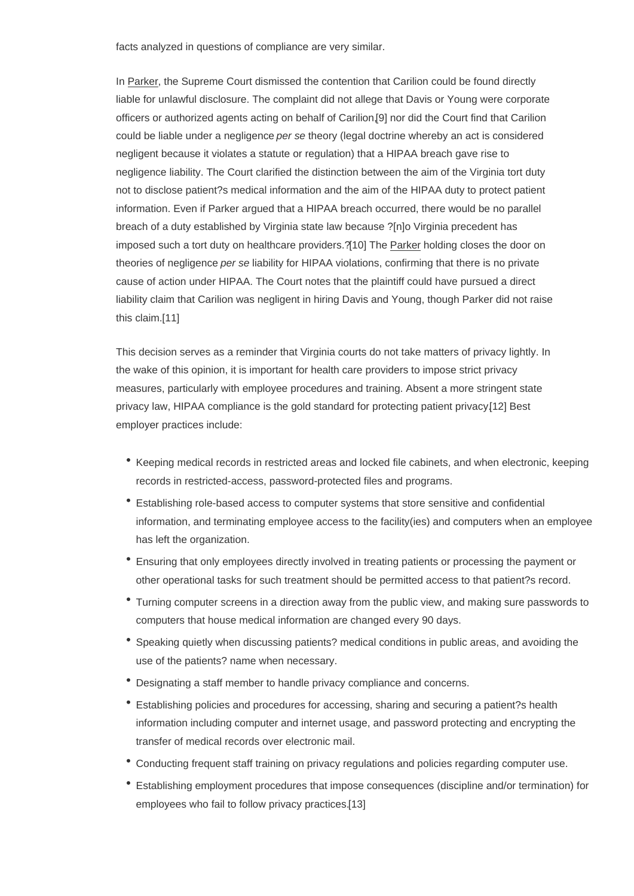In Parker, the Supreme Court dismissed the contention that Carilion could be found directly liable for unlawful disclosure. The complaint did not allege that Davis or Young were corporate officers or authorized agents acting on behalf of Carilion,[9] nor did the Court find that Carilion could be liable under a negligence per se theory (legal doctrine whereby an act is considered negligent because it violates a statute or regulation) that a HIPAA breach gave rise to negligence liability. The Court clarified the distinction be[twe](/printpdf/46389#_edn9)en the aim of the Virginia tort duty not to disclose patient?s medical information and the aim of the HIPAA duty to protect patient information. Even if Parker argued that a HIPAA breach occurred, there would be no parallel breach of a duty established by Virginia state law because ?[n]o Virginia precedent has imposed such a tort duty on healthcare providers.?[10] The Parker holding closes the door on theories of negligence per se liability for HIPAA violations, confirming that there is no private cause of action under HIPAA. The Court notes that the plaintiff could have pursued a direct liability claim that Carilion was negligent in hiring [Davis](/printpdf/46389#_edn10) and Young, though Parker did not raise this claim.[11]

This decision serves as a reminder that Virginia courts do not take matters of privacy lightly. In the wake [of th](/printpdf/46389#_edn11)is opinion, it is important for health care providers to impose strict privacy measures, particularly with employee procedures and training. Absent a more stringent state privacy law, HIPAA compliance is the gold standard for protecting patient privacy.[12] Best employer practices include:

- Keeping medical records in restricted areas and locked file cabinets, and wh[en e](/printpdf/46389#_edn12)lectronic, keeping records in restricted-access, password-protected files and programs.
- Establishing role-based access to computer systems that store sensitive and confidential information, and terminating employee access to the facility(ies) and computers when an employee has left the organization.
- Ensuring that only employees directly involved in treating patients or processing the payment or other operational tasks for such treatment should be permitted access to that patient?s record.
- Turning computer screens in a direction away from the public view, and making sure passwords to computers that house medical information are changed every 90 days.
- Speaking quietly when discussing patients? medical conditions in public areas, and avoiding the use of the patients? name when necessary.
- Designating a staff member to handle privacy compliance and concerns.
- Establishing policies and procedures for accessing, sharing and securing a patient?s health information including computer and internet usage, and password protecting and encrypting the transfer of medical records over electronic mail.
- Conducting frequent staff training on privacy regulations and policies regarding computer use.
- Establishing employment procedures that impose consequences (discipline and/or termination) for employees who fail to follow privacy practices.[13]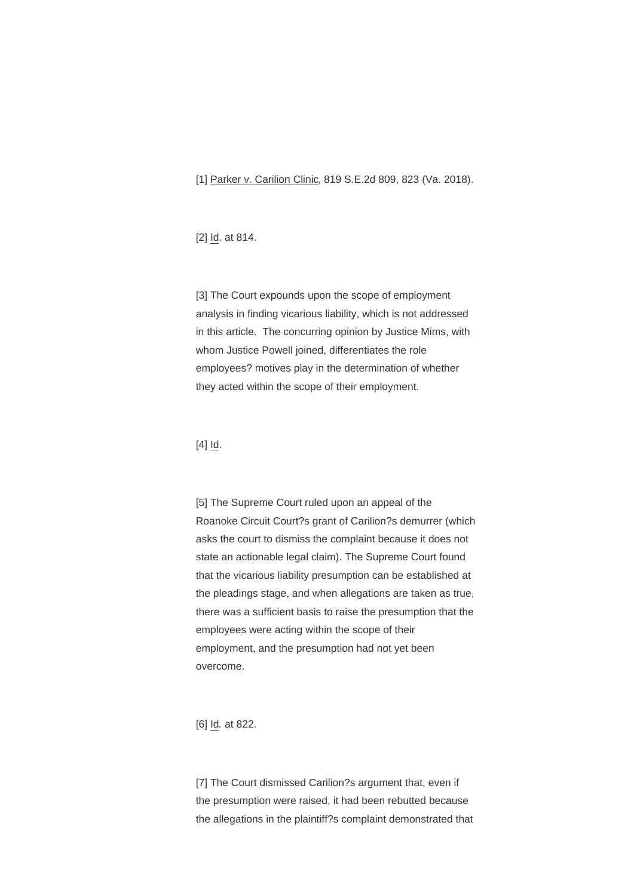[1] Parker v. Carilion Clinic, 819 S.E.2d 809, 823 (Va. 2018).

[\[2\]](/printpdf/46389#_ednref1) Id. at 814.

[\[3\]](/printpdf/46389#_ednref2) The Court expounds upon the scope of employment analysis in finding vicarious liability, which is not addressed in this article. The concurring opinion by Justice Mims, with [wh](/printpdf/46389#_ednref3)om Justice Powell joined, differentiates the role employees? motives play in the determination of whether they acted within the scope of their employment.

## $[4]$   $\underline{Id}$ .

[\[5\]](/printpdf/46389#_ednref4) The Supreme Court ruled upon an appeal of the Roanoke Circuit Court?s grant of Carilion?s demurrer (which asks the court to dismiss the complaint because it does not [sta](/printpdf/46389#_ednref5)te an actionable legal claim). The Supreme Court found that the vicarious liability presumption can be established at the pleadings stage, and when allegations are taken as true, there was a sufficient basis to raise the presumption that the employees were acting within the scope of their employment, and the presumption had not yet been overcome.

[6] Id. at 822.

[\[7\]](/printpdf/46389#_ednref6) The Court dismissed Carilion?s argument that, even if the presumption were raised, it had been rebutted because the allegations in the plaintiff?s complaint demonstrated that